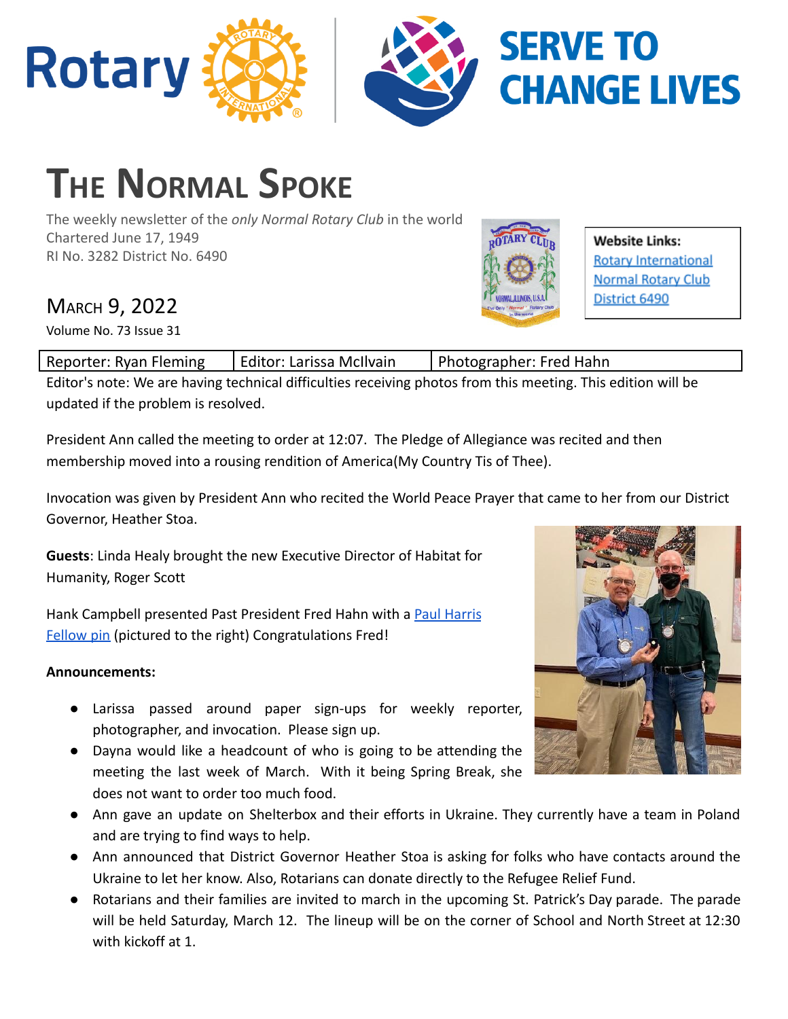

# **THE NORMAL SPOKE**

The weekly newsletter of the *only Normal Rotary Club* in the world Chartered June 17, 1949 RI No. 3282 District No. 6490

## MARCH 9, 2022

Volume No. 73 Issue 31

| Reporter: Ryan Fleming | Editor: Larissa McIlvain | Photographer: Fred Hahn |
|------------------------|--------------------------|-------------------------|
|                        |                          |                         |

Editor's note: We are having technical difficulties receiving photos from this meeting. This edition will be updated if the problem is resolved.

President Ann called the meeting to order at 12:07. The Pledge of Allegiance was recited and then membership moved into a rousing rendition of America(My Country Tis of Thee).

Invocation was given by President Ann who recited the World Peace Prayer that came to her from our District Governor, Heather Stoa.

**Guests**: Linda Healy brought the new Executive Director of Habitat for Humanity, Roger Scott

Hank Campbell presented Past President Fred Hahn with a [Paul Harris](https://www.rotary.org/en/history-paul-harris-fellow-recognition) [Fellow pin](https://www.rotary.org/en/history-paul-harris-fellow-recognition) (pictured to the right) Congratulations Fred!

### **Announcements:**

- Larissa passed around paper sign-ups for weekly reporter, photographer, and invocation. Please sign up.
- Dayna would like a headcount of who is going to be attending the meeting the last week of March. With it being Spring Break, she does not want to order too much food.
- Ann gave an update on Shelterbox and their efforts in Ukraine. They currently have a team in Poland and are trying to find ways to help.
- Ann announced that District Governor Heather Stoa is asking for folks who have contacts around the Ukraine to let her know. Also, Rotarians can donate directly to the Refugee Relief Fund.
- Rotarians and their families are invited to march in the upcoming St. Patrick's Day parade. The parade will be held Saturday, March 12. The lineup will be on the corner of School and North Street at 12:30 with kickoff at 1.



Website Links:

District 6490

**Rotary International Normal Rotary Club**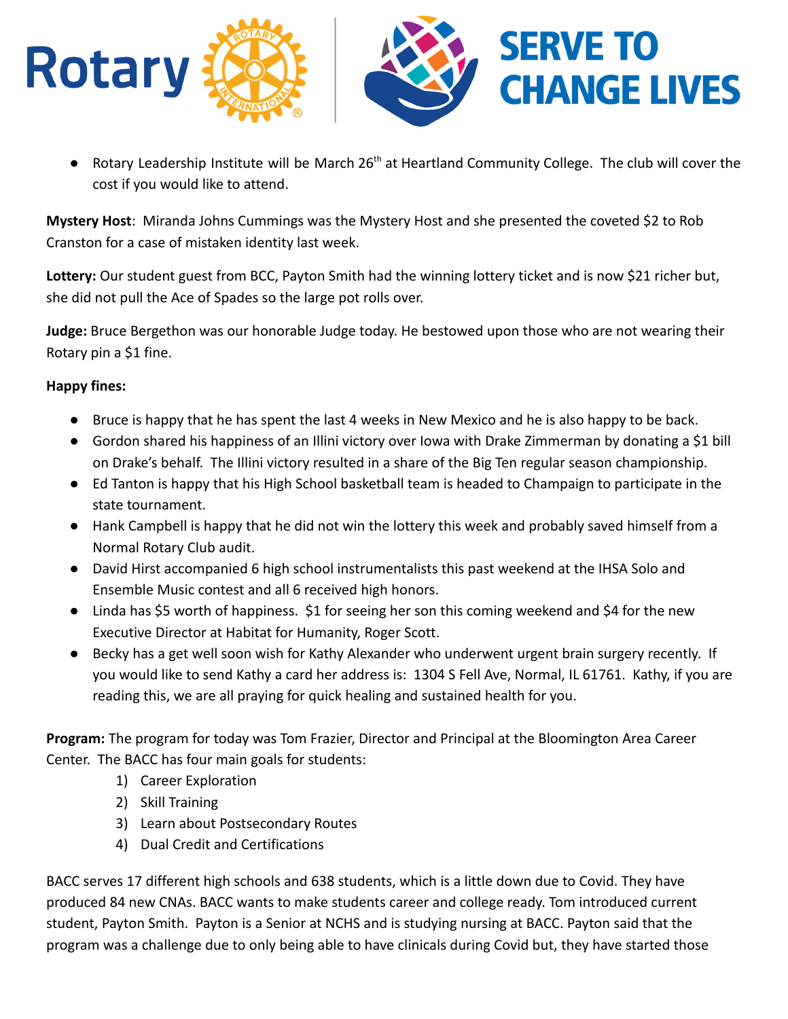

 $\bullet$  Rotary Leadership Institute will be March 26<sup>th</sup> at Heartland Community College. The club will cover the cost if you would like to attend.

**Mystery Host**: Miranda Johns Cummings was the Mystery Host and she presented the coveted \$2 to Rob Cranston for a case of mistaken identity last week.

**Lottery:** Our student guest from BCC, Payton Smith had the winning lottery ticket and is now \$21 richer but, she did not pull the Ace of Spades so the large pot rolls over.

**Judge:** Bruce Bergethon was our honorable Judge today. He bestowed upon those who are not wearing their Rotary pin a \$1 fine.

#### **Happy fines:**

- Bruce is happy that he has spent the last 4 weeks in New Mexico and he is also happy to be back.
- Gordon shared his happiness of an Illini victory over Iowa with Drake Zimmerman by donating a \$1 bill on Drake's behalf. The Illini victory resulted in a share of the Big Ten regular season championship.
- Ed Tanton is happy that his High School basketball team is headed to Champaign to participate in the state tournament.
- Hank Campbell is happy that he did not win the lottery this week and probably saved himself from a Normal Rotary Club audit.
- David Hirst accompanied 6 high school instrumentalists this past weekend at the IHSA Solo and Ensemble Music contest and all 6 received high honors.
- Linda has \$5 worth of happiness. \$1 for seeing her son this coming weekend and \$4 for the new Executive Director at Habitat for Humanity, Roger Scott.
- Becky has a get well soon wish for Kathy Alexander who underwent urgent brain surgery recently. If you would like to send Kathy a card her address is: 1304 S Fell Ave, Normal, IL 61761. Kathy, if you are reading this, we are all praying for quick healing and sustained health for you.

**Program:** The program for today was Tom Frazier, Director and Principal at the Bloomington Area Career Center. The BACC has four main goals for students:

- 1) Career Exploration
- 2) Skill Training
- 3) Learn about Postsecondary Routes
- 4) Dual Credit and Certifications

BACC serves 17 different high schools and 638 students, which is a little down due to Covid. They have produced 84 new CNAs. BACC wants to make students career and college ready. Tom introduced current student, Payton Smith. Payton is a Senior at NCHS and is studying nursing at BACC. Payton said that the program was a challenge due to only being able to have clinicals during Covid but, they have started those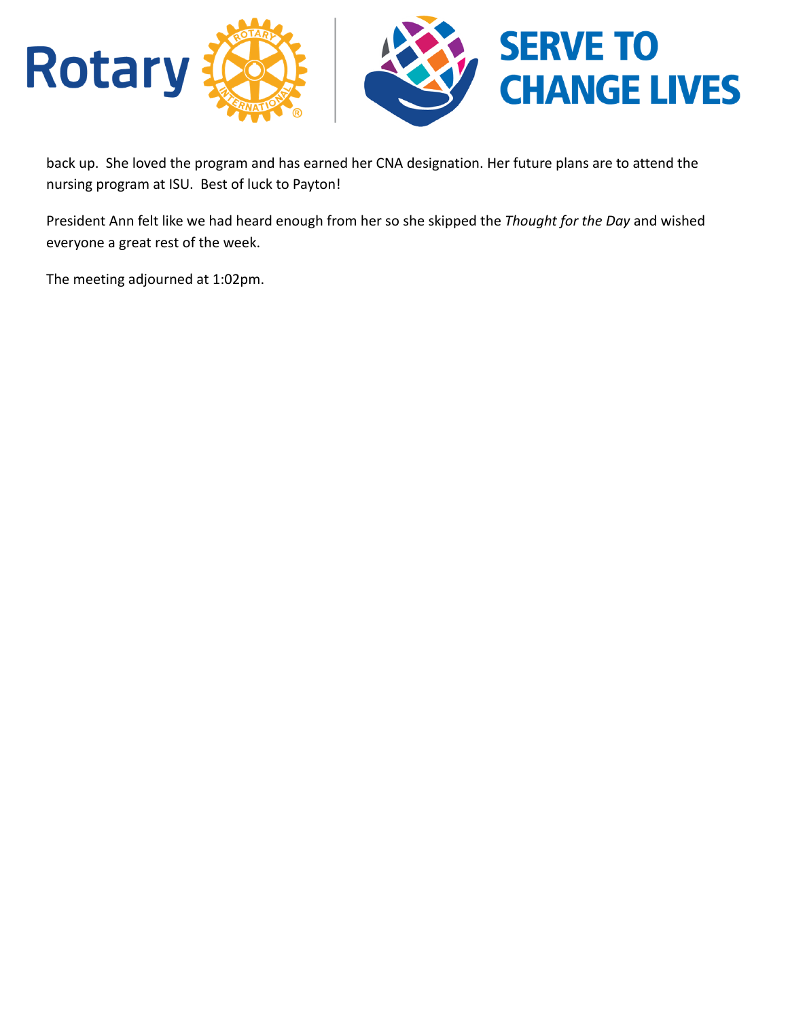

back up. She loved the program and has earned her CNA designation. Her future plans are to attend the nursing program at ISU. Best of luck to Payton!

President Ann felt like we had heard enough from her so she skipped the *Thought for the Day* and wished everyone a great rest of the week.

The meeting adjourned at 1:02pm.